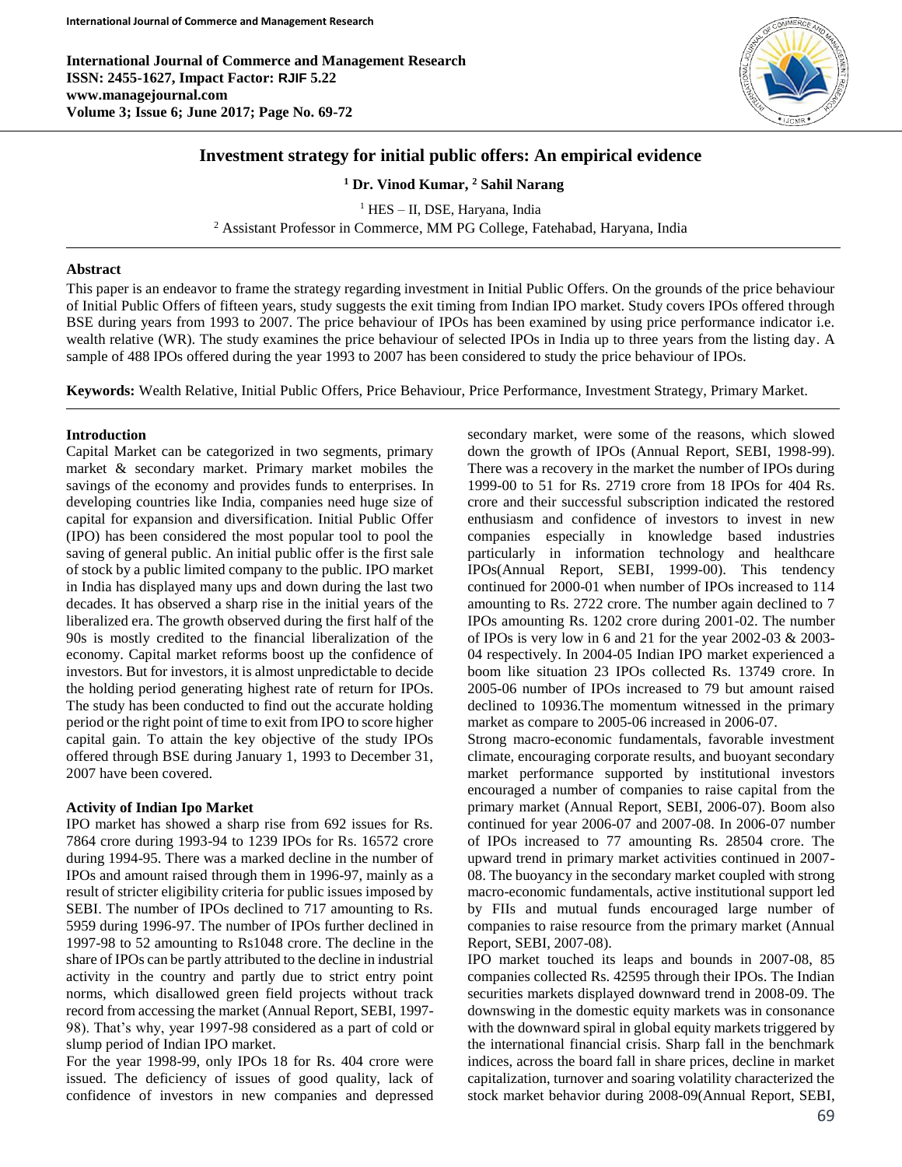**International Journal of Commerce and Management Research ISSN: 2455-1627, Impact Factor: RJIF 5.22 www.managejournal.com Volume 3; Issue 6; June 2017; Page No. 69-72**



### **Investment strategy for initial public offers: An empirical evidence**

**<sup>1</sup> Dr. Vinod Kumar, <sup>2</sup> Sahil Narang**

<sup>1</sup> HES – II, DSE, Haryana, India

<sup>2</sup> Assistant Professor in Commerce, MM PG College, Fatehabad, Haryana, India

#### **Abstract**

This paper is an endeavor to frame the strategy regarding investment in Initial Public Offers. On the grounds of the price behaviour of Initial Public Offers of fifteen years, study suggests the exit timing from Indian IPO market. Study covers IPOs offered through BSE during years from 1993 to 2007. The price behaviour of IPOs has been examined by using price performance indicator i.e. wealth relative (WR). The study examines the price behaviour of selected IPOs in India up to three years from the listing day. A sample of 488 IPOs offered during the year 1993 to 2007 has been considered to study the price behaviour of IPOs.

**Keywords:** Wealth Relative, Initial Public Offers, Price Behaviour, Price Performance, Investment Strategy, Primary Market.

#### **Introduction**

Capital Market can be categorized in two segments, primary market & secondary market. Primary market mobiles the savings of the economy and provides funds to enterprises. In developing countries like India, companies need huge size of capital for expansion and diversification. Initial Public Offer (IPO) has been considered the most popular tool to pool the saving of general public. An initial public offer is the first sale of stock by a public limited company to the public. IPO market in India has displayed many ups and down during the last two decades. It has observed a sharp rise in the initial years of the liberalized era. The growth observed during the first half of the 90s is mostly credited to the financial liberalization of the economy. Capital market reforms boost up the confidence of investors. But for investors, it is almost unpredictable to decide the holding period generating highest rate of return for IPOs. The study has been conducted to find out the accurate holding period or the right point of time to exit from IPO to score higher capital gain. To attain the key objective of the study IPOs offered through BSE during January 1, 1993 to December 31, 2007 have been covered.

#### **Activity of Indian Ipo Market**

IPO market has showed a sharp rise from 692 issues for Rs. 7864 crore during 1993-94 to 1239 IPOs for Rs. 16572 crore during 1994-95. There was a marked decline in the number of IPOs and amount raised through them in 1996-97, mainly as a result of stricter eligibility criteria for public issues imposed by SEBI. The number of IPOs declined to 717 amounting to Rs. 5959 during 1996-97. The number of IPOs further declined in 1997-98 to 52 amounting to Rs1048 crore. The decline in the share of IPOs can be partly attributed to the decline in industrial activity in the country and partly due to strict entry point norms, which disallowed green field projects without track record from accessing the market (Annual Report, SEBI, 1997- 98). That's why, year 1997-98 considered as a part of cold or slump period of Indian IPO market.

For the year 1998-99, only IPOs 18 for Rs. 404 crore were issued. The deficiency of issues of good quality, lack of confidence of investors in new companies and depressed secondary market, were some of the reasons, which slowed down the growth of IPOs (Annual Report, SEBI, 1998-99). There was a recovery in the market the number of IPOs during 1999-00 to 51 for Rs. 2719 crore from 18 IPOs for 404 Rs. crore and their successful subscription indicated the restored enthusiasm and confidence of investors to invest in new companies especially in knowledge based industries particularly in information technology and healthcare IPOs(Annual Report, SEBI, 1999-00). This tendency continued for 2000-01 when number of IPOs increased to 114 amounting to Rs. 2722 crore. The number again declined to 7 IPOs amounting Rs. 1202 crore during 2001-02. The number of IPOs is very low in 6 and 21 for the year 2002-03 & 2003- 04 respectively. In 2004-05 Indian IPO market experienced a boom like situation 23 IPOs collected Rs. 13749 crore. In 2005-06 number of IPOs increased to 79 but amount raised declined to 10936.The momentum witnessed in the primary market as compare to 2005-06 increased in 2006-07.

Strong macro-economic fundamentals, favorable investment climate, encouraging corporate results, and buoyant secondary market performance supported by institutional investors encouraged a number of companies to raise capital from the primary market (Annual Report, SEBI, 2006-07). Boom also continued for year 2006-07 and 2007-08. In 2006-07 number of IPOs increased to 77 amounting Rs. 28504 crore. The upward trend in primary market activities continued in 2007- 08. The buoyancy in the secondary market coupled with strong macro-economic fundamentals, active institutional support led by FIIs and mutual funds encouraged large number of companies to raise resource from the primary market (Annual Report, SEBI, 2007-08).

IPO market touched its leaps and bounds in 2007-08, 85 companies collected Rs. 42595 through their IPOs. The Indian securities markets displayed downward trend in 2008-09. The downswing in the domestic equity markets was in consonance with the downward spiral in global equity markets triggered by the international financial crisis. Sharp fall in the benchmark indices, across the board fall in share prices, decline in market capitalization, turnover and soaring volatility characterized the stock market behavior during 2008-09(Annual Report, SEBI,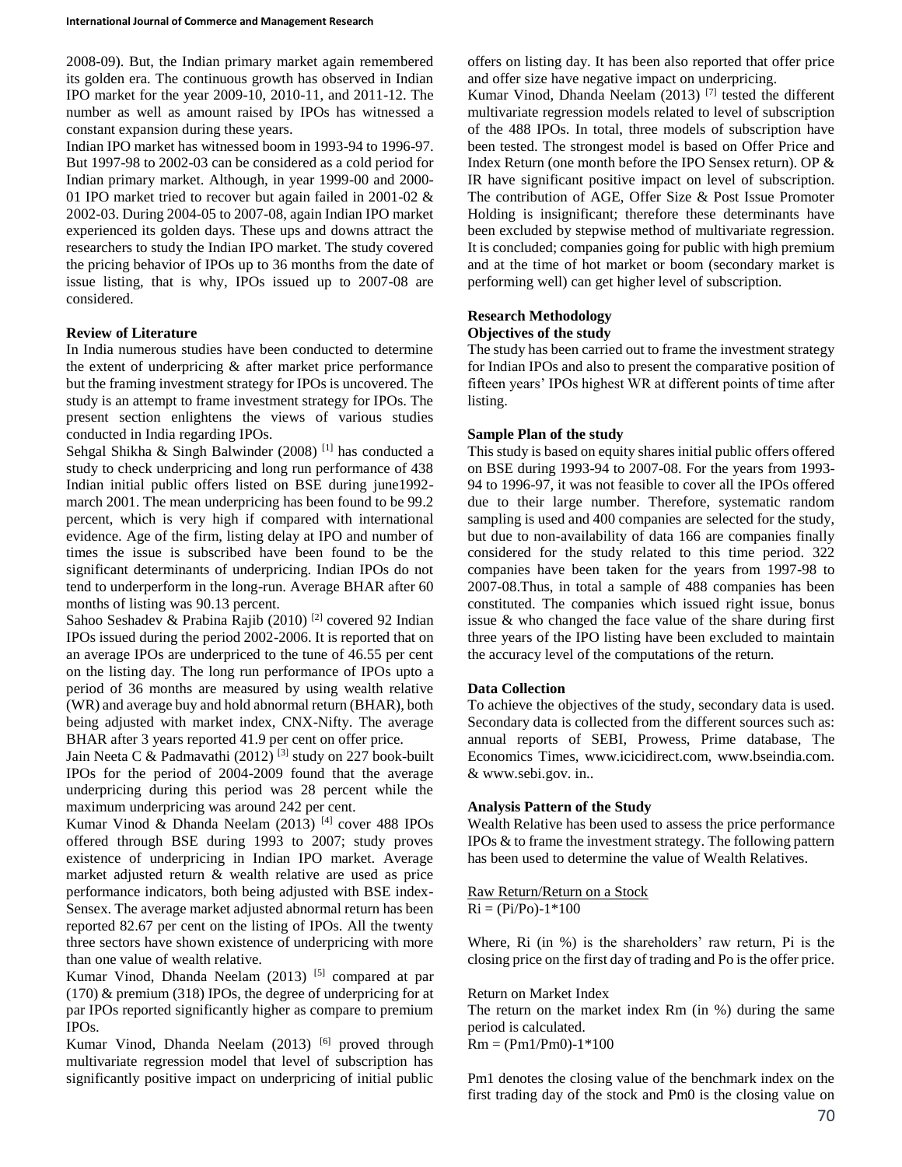2008-09). But, the Indian primary market again remembered its golden era. The continuous growth has observed in Indian IPO market for the year 2009-10, 2010-11, and 2011-12. The number as well as amount raised by IPOs has witnessed a constant expansion during these years.

Indian IPO market has witnessed boom in 1993-94 to 1996-97. But 1997-98 to 2002-03 can be considered as a cold period for Indian primary market. Although, in year 1999-00 and 2000- 01 IPO market tried to recover but again failed in 2001-02 & 2002-03. During 2004-05 to 2007-08, again Indian IPO market experienced its golden days. These ups and downs attract the researchers to study the Indian IPO market. The study covered the pricing behavior of IPOs up to 36 months from the date of issue listing, that is why, IPOs issued up to 2007-08 are considered.

# **Review of Literature**

In India numerous studies have been conducted to determine the extent of underpricing & after market price performance but the framing investment strategy for IPOs is uncovered. The study is an attempt to frame investment strategy for IPOs. The present section enlightens the views of various studies conducted in India regarding IPOs.

Sehgal Shikha & Singh Balwinder (2008) [1] has conducted a study to check underpricing and long run performance of 438 Indian initial public offers listed on BSE during june1992 march 2001. The mean underpricing has been found to be 99.2 percent, which is very high if compared with international evidence. Age of the firm, listing delay at IPO and number of times the issue is subscribed have been found to be the significant determinants of underpricing. Indian IPOs do not tend to underperform in the long-run. Average BHAR after 60 months of listing was 90.13 percent.

Sahoo Seshadev & Prabina Rajib (2010)<sup>[2]</sup> covered 92 Indian IPOs issued during the period 2002-2006. It is reported that on an average IPOs are underpriced to the tune of 46.55 per cent on the listing day. The long run performance of IPOs upto a period of 36 months are measured by using wealth relative (WR) and average buy and hold abnormal return (BHAR), both being adjusted with market index, CNX-Nifty. The average BHAR after 3 years reported 41.9 per cent on offer price.

Jain Neeta C & Padmavathi (2012)<sup>[3]</sup> study on 227 book-built IPOs for the period of 2004-2009 found that the average underpricing during this period was 28 percent while the maximum underpricing was around 242 per cent.

Kumar Vinod & Dhanda Neelam (2013)<sup>[4]</sup> cover 488 IPOs offered through BSE during 1993 to 2007; study proves existence of underpricing in Indian IPO market. Average market adjusted return & wealth relative are used as price performance indicators, both being adjusted with BSE index-Sensex. The average market adjusted abnormal return has been reported 82.67 per cent on the listing of IPOs. All the twenty three sectors have shown existence of underpricing with more than one value of wealth relative.

Kumar Vinod, Dhanda Neelam (2013) [5] compared at par (170) & premium (318) IPOs, the degree of underpricing for at par IPOs reported significantly higher as compare to premium IPOs.

Kumar Vinod, Dhanda Neelam (2013) <sup>[6]</sup> proved through multivariate regression model that level of subscription has significantly positive impact on underpricing of initial public

offers on listing day. It has been also reported that offer price and offer size have negative impact on underpricing.

Kumar Vinod, Dhanda Neelam (2013)<sup>[7]</sup> tested the different multivariate regression models related to level of subscription of the 488 IPOs. In total, three models of subscription have been tested. The strongest model is based on Offer Price and Index Return (one month before the IPO Sensex return). OP & IR have significant positive impact on level of subscription. The contribution of AGE, Offer Size & Post Issue Promoter Holding is insignificant; therefore these determinants have been excluded by stepwise method of multivariate regression. It is concluded; companies going for public with high premium and at the time of hot market or boom (secondary market is performing well) can get higher level of subscription.

# **Research Methodology**

# **Objectives of the study**

The study has been carried out to frame the investment strategy for Indian IPOs and also to present the comparative position of fifteen years' IPOs highest WR at different points of time after listing.

# **Sample Plan of the study**

This study is based on equity shares initial public offers offered on BSE during 1993-94 to 2007-08. For the years from 1993- 94 to 1996-97, it was not feasible to cover all the IPOs offered due to their large number. Therefore, systematic random sampling is used and 400 companies are selected for the study, but due to non-availability of data 166 are companies finally considered for the study related to this time period. 322 companies have been taken for the years from 1997-98 to 2007-08.Thus, in total a sample of 488 companies has been constituted. The companies which issued right issue, bonus issue & who changed the face value of the share during first three years of the IPO listing have been excluded to maintain the accuracy level of the computations of the return.

# **Data Collection**

To achieve the objectives of the study, secondary data is used. Secondary data is collected from the different sources such as: annual reports of SEBI, Prowess, Prime database, The Economics Times, www.icicidirect.com, www.bseindia.com. & www.sebi.gov. in..

### **Analysis Pattern of the Study**

Wealth Relative has been used to assess the price performance IPOs & to frame the investment strategy. The following pattern has been used to determine the value of Wealth Relatives.

Raw Return/Return on a Stock  $Ri = (Pi/Po)-1*100$ 

Where, Ri (in %) is the shareholders' raw return, Pi is the closing price on the first day of trading and Po is the offer price.

Return on Market Index

The return on the market index Rm (in %) during the same period is calculated.  $Rm = (Pm1/Pm0)-1*100$ 

Pm1 denotes the closing value of the benchmark index on the first trading day of the stock and Pm0 is the closing value on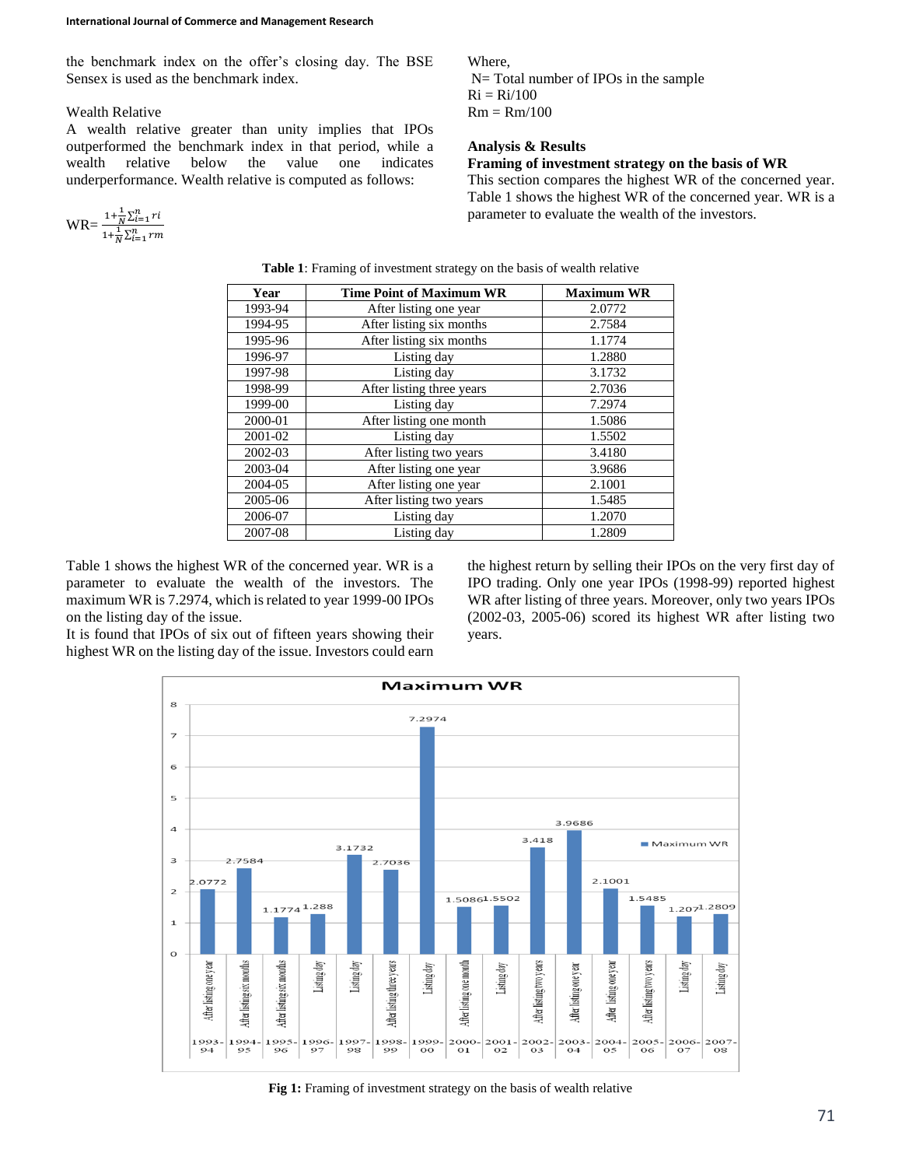the benchmark index on the offer's closing day. The BSE Sensex is used as the benchmark index.

#### Wealth Relative

A wealth relative greater than unity implies that IPOs outperformed the benchmark index in that period, while a wealth relative below the value one indicates underperformance. Wealth relative is computed as follows:

$$
WR = \frac{1 + \frac{1}{N} \sum_{i=1}^{n} r_i}{1 + \frac{1}{N} \sum_{i=1}^{n} rm}
$$

Where, N= Total number of IPOs in the sample  $Ri = Ri/100$  $Rm = Rm/100$ 

### **Analysis & Results**

### **Framing of investment strategy on the basis of WR**

This section compares the highest WR of the concerned year. Table 1 shows the highest WR of the concerned year. WR is a parameter to evaluate the wealth of the investors.

| Year    | <b>Time Point of Maximum WR</b> | <b>Maximum WR</b> |
|---------|---------------------------------|-------------------|
| 1993-94 | After listing one year          | 2.0772            |
| 1994-95 | After listing six months        | 2.7584            |
| 1995-96 | After listing six months        | 1.1774            |
| 1996-97 | Listing day                     | 1.2880            |
| 1997-98 | Listing day                     | 3.1732            |
| 1998-99 | After listing three years       | 2.7036            |
| 1999-00 | Listing day                     | 7.2974            |
| 2000-01 | After listing one month         | 1.5086            |
| 2001-02 | Listing day                     | 1.5502            |
| 2002-03 | After listing two years         | 3.4180            |
| 2003-04 | After listing one year          | 3.9686            |
| 2004-05 | After listing one year          | 2.1001            |
| 2005-06 | After listing two years         | 1.5485            |
| 2006-07 | Listing day                     | 1.2070            |
| 2007-08 | Listing day                     | 1.2809            |

**Table 1**: Framing of investment strategy on the basis of wealth relative

Table 1 shows the highest WR of the concerned year. WR is a parameter to evaluate the wealth of the investors. The maximum WR is 7.2974, which is related to year 1999-00 IPOs on the listing day of the issue.

the highest return by selling their IPOs on the very first day of IPO trading. Only one year IPOs (1998-99) reported highest WR after listing of three years. Moreover, only two years IPOs (2002-03, 2005-06) scored its highest WR after listing two years.

It is found that IPOs of six out of fifteen years showing their highest WR on the listing day of the issue. Investors could earn



**Fig 1:** Framing of investment strategy on the basis of wealth relative